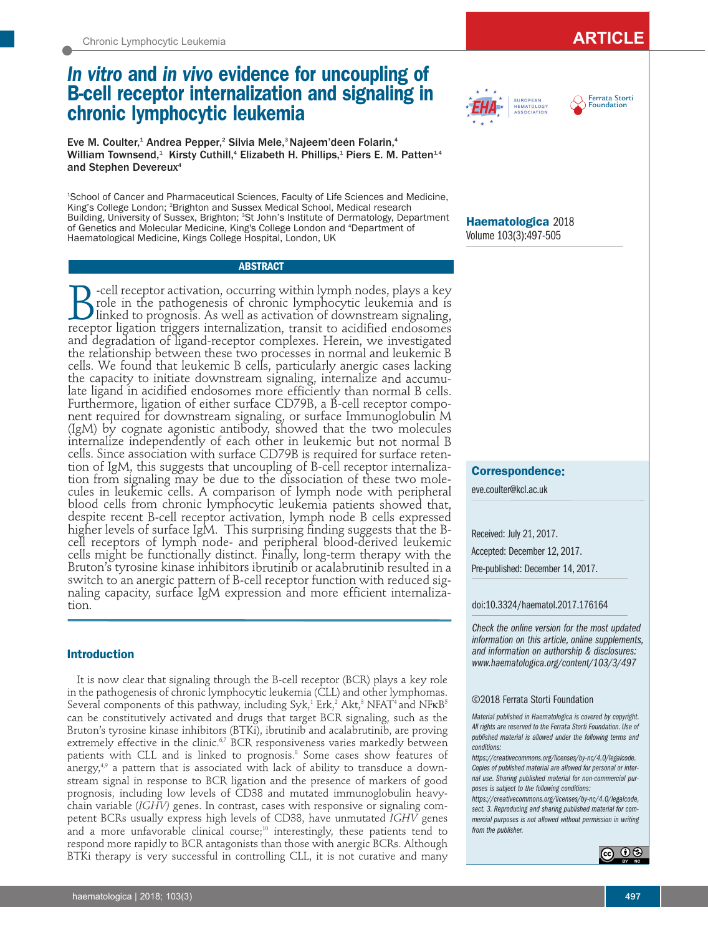# *In vitro* **and** *in vivo* **evidence for uncoupling of B-cell receptor internalization and signaling in chronic lymphocytic leukemia**

Eve M. Coulter,<sup>1</sup> Andrea Pepper,<sup>2</sup> Silvia Mele,<sup>3</sup> Najeem'deen Folarin,<sup>4</sup> William Townsend,<sup>1</sup> Kirsty Cuthill,<sup>4</sup> Elizabeth H. Phillips,<sup>1</sup> Piers E. M. Patten<sup>1,4</sup> and Stephen Devereux4

1 School of Cancer and Pharmaceutical Sciences, Faculty of Life Sciences and Medicine, King's College London; <sup>2</sup>Brighton and Sussex Medical School, Medical research Building, University of Sussex, Brighton; <sup>3</sup>St John's Institute of Dermatology, Department of Genetics and Molecular Medicine, King's College London and 4 Department of Haematological Medicine, Kings College Hospital, London, UK

**ABSTRACT**

 $\sum$  -cell receptor activation, occurring within lymph nodes, plays a key<br>role in the pathogenesis of chronic lymphocytic leukemia and is<br>linked to prognosis. As well as activation of downstream signaling. role in the pathogenesis of chronic lymphocytic leukemia and is linked to prognosis. As well as activation of downstream signaling, receptor ligation triggers internalization, transit to acidified endosomes and degradation of ligand-receptor complexes. Herein, we investigated the relationship between these two processes in normal and leukemic B cells. We found that leukemic B cells, particularly anergic cases lacking the capacity to initiate downstream signaling, internalize and accumulate ligand in acidified endosomes more efficiently than normal B cells. Furthermore, ligation of either surface CD79B, a B-cell receptor component required for downstream signaling, or surface Immunoglobulin M (IgM) by cognate agonistic antibody, showed that the two molecules internalize independently of each other in leukemic but not normal B cells. Since association with surface CD79B is required for surface retention of IgM, this suggests that uncoupling of B-cell receptor internalization from signaling may be due to the dissociation of these two molecules in leukemic cells. A comparison of lymph node with peripheral blood cells from chronic lymphocytic leukemia patients showed that, despite recent B-cell receptor activation, lymph node B cells expressed higher levels of surface IgM. This surprising finding suggests that the Bcell receptors of lymph node- and peripheral blood-derived leukemic cells might be functionally distinct. Finally, long-term therapy with the Bruton's tyrosine kinase inhibitors ibrutinib or acalabrutinib resulted in a switch to an anergic pattern of B-cell receptor function with reduced signaling capacity, surface IgM expression and more efficient internalization.

# **Introduction**

It is now clear that signaling through the B-cell receptor (BCR) plays a key role in the pathogenesis of chronic lymphocytic leukemia (CLL) and other lymphomas. Several components of this pathway, including Syk,<sup>1</sup> Erk,<sup>2</sup> Akt,<sup>3</sup> NFAT<sup>4</sup> and NFKB<sup>5</sup> can be constitutively activated and drugs that target BCR signaling, such as the Bruton's tyrosine kinase inhibitors (BTKi), ibrutinib and acalabrutinib, are proving extremely effective in the clinic.<sup>67</sup> BCR responsiveness varies markedly between patients with CLL and is linked to prognosis.<sup>8</sup> Some cases show features of anergy,<sup>4,9</sup> a pattern that is associated with lack of ability to transduce a downstream signal in response to BCR ligation and the presence of markers of good prognosis, including low levels of CD38 and mutated immunoglobulin heavychain variable (*IGHV)* genes. In contrast, cases with responsive or signaling competent BCRs usually express high levels of CD38, have unmutated *IGHV* genes and a more unfavorable clinical course;<sup>10</sup> interestingly, these patients tend to respond more rapidly to BCR antagonists than those with anergic BCRs. Although BTKi therapy is very successful in controlling CLL, it is not curative and many

**Haematologica** 2018 Volume 103(3):497-505

# **Correspondence:**

eve.coulter@kcl.ac.uk

Received: July 21, 2017. Accepted: December 12, 2017.

Pre-published: December 14, 2017.

doi:10.3324/haematol.2017.176164

*Check the online version for the most updated information on this article, online supplements, and information on authorship & disclosures: www.haematologica.org/content/103/3/497*

#### ©2018 Ferrata Storti Foundation

*Material published in Haematologica is covered by copyright. All rights are reserved to the Ferrata Storti Foundation. Use of published material is allowed under the following terms and conditions:* 

*https://creativecommons.org/licenses/by-nc/4.0/legalcode. Copies of published material are allowed for personal or internal use. Sharing published material for non-commercial purposes is subject to the following conditions:* 

*https://creativecommons.org/licenses/by-nc/4.0/legalcode, sect. 3. Reproducing and sharing published material for commercial purposes is not allowed without permission in writing from the publisher.*



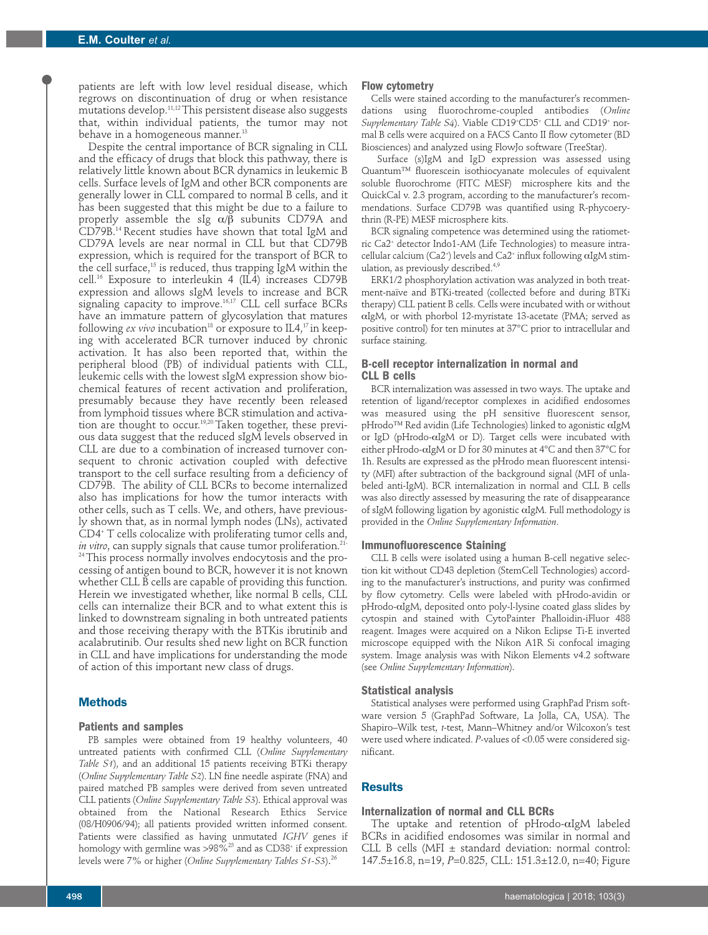patients are left with low level residual disease, which regrows on discontinuation of drug or when resistance mutations develop.11,12 This persistent disease also suggests that, within individual patients, the tumor may not behave in a homogeneous manner.<sup>13</sup>

Despite the central importance of BCR signaling in CLL and the efficacy of drugs that block this pathway, there is relatively little known about BCR dynamics in leukemic B cells. Surface levels of IgM and other BCR components are generally lower in CLL compared to normal B cells, and it has been suggested that this might be due to a failure to properly assemble the sIg  $\alpha/\beta$  subunits CD79A and CD79B.14 Recent studies have shown that total IgM and CD79A levels are near normal in CLL but that CD79B expression, which is required for the transport of BCR to the cell surface, $15$  is reduced, thus trapping IgM within the cell.16 Exposure to interleukin 4 (IL4) increases CD79B expression and allows sIgM levels to increase and BCR signaling capacity to improve.<sup>16,17</sup> CLL cell surface BCRs have an immature pattern of glycosylation that matures following *ex vivo* incubation<sup>18</sup> or exposure to IL4,<sup>17</sup> in keeping with accelerated BCR turnover induced by chronic activation. It has also been reported that, within the peripheral blood (PB) of individual patients with CLL, leukemic cells with the lowest sIgM expression show biochemical features of recent activation and proliferation, presumably because they have recently been released from lymphoid tissues where BCR stimulation and activation are thought to occur.19,20 Taken together, these previous data suggest that the reduced sIgM levels observed in CLL are due to a combination of increased turnover consequent to chronic activation coupled with defective transport to the cell surface resulting from a deficiency of CD79B. The ability of CLL BCRs to become internalized also has implications for how the tumor interacts with other cells, such as T cells. We, and others, have previously shown that, as in normal lymph nodes (LNs), activated CD4+ T cells colocalize with proliferating tumor cells and, *in vitro*, can supply signals that cause tumor proliferation.<sup>21-</sup>

<sup>24</sup> This process normally involves endocytosis and the processing of antigen bound to BCR, however it is not known whether CLL B cells are capable of providing this function. Herein we investigated whether, like normal B cells, CLL cells can internalize their BCR and to what extent this is linked to downstream signaling in both untreated patients and those receiving therapy with the BTKis ibrutinib and acalabrutinib. Our results shed new light on BCR function in CLL and have implications for understanding the mode of action of this important new class of drugs.

# **Methods**

#### **Patients and samples**

PB samples were obtained from 19 healthy volunteers, 40 untreated patients with confirmed CLL (*Online Supplementary Table S1*), and an additional 15 patients receiving BTKi therapy (*Online Supplementary Table S2*). LN fine needle aspirate (FNA) and paired matched PB samples were derived from seven untreated CLL patients (*Online Supplementary Table S3*). Ethical approval was obtained from the National Research Ethics Service (08/H0906/94); all patients provided written informed consent. Patients were classified as having unmutated *IGHV* genes if homology with germline was >98%<sup>25</sup> and as CD38<sup>+</sup> if expression levels were 7% or higher (*Online Supplementary Tables S1-S3*). 26

#### **Flow cytometry**

Cells were stained according to the manufacturer's recommendations using fluorochrome-coupled antibodies (*Online Supplementary Table S4*). Viable CD19+ CD5+ CLL and CD19+ normal B cells were acquired on a FACS Canto II flow cytometer (BD Biosciences) and analyzed using FlowJo software (TreeStar).

Surface (s)IgM and IgD expression was assessed using Quantum™ fluorescein isothiocyanate molecules of equivalent soluble fluorochrome (FITC MESF) microsphere kits and the QuickCal v. 2.3 program, according to the manufacturer's recommendations. Surface CD79B was quantified using R-phycoerythrin (R-PE) MESF microsphere kits.

BCR signaling competence was determined using the ratiometric Ca2+ detector Indo1-AM (Life Technologies) to measure intracellular calcium (Ca2+) levels and Ca2+ influx following  $\alpha$ IgM stimulation, as previously described.<sup>4,9</sup>

ERK1/2 phosphorylation activation was analyzed in both treatment-naïve and BTKi-treated (collected before and during BTKi therapy) CLL patient B cells. Cells were incubated with or without αIgM, or with phorbol 12-myristate 13-acetate (PMA; served as positive control) for ten minutes at 37°C prior to intracellular and surface staining.

# **B-cell receptor internalization in normal and CLL B cells**

BCR internalization was assessed in two ways. The uptake and retention of ligand/receptor complexes in acidified endosomes was measured using the pH sensitive fluorescent sensor, pHrodo™ Red avidin (Life Technologies) linked to agonistic αIgM or IgD (pHrodo-αIgM or D). Target cells were incubated with either pHrodo-αIgM or D for 30 minutes at 4°C and then 37°C for 1h. Results are expressed as the pHrodo mean fluorescent intensity (MFI) after subtraction of the background signal (MFI of unlabeled anti-IgM). BCR internalization in normal and CLL B cells was also directly assessed by measuring the rate of disappearance of sIgM following ligation by agonistic αIgM. Full methodology is provided in the *Online Supplementary Information*.

# **Immunofluorescence Staining**

CLL B cells were isolated using a human B-cell negative selection kit without CD43 depletion (StemCell Technologies) according to the manufacturer's instructions, and purity was confirmed by flow cytometry. Cells were labeled with pHrodo-avidin or pHrodo-αIgM, deposited onto poly-l-lysine coated glass slides by cytospin and stained with CytoPainter Phalloidin-iFluor 488 reagent. Images were acquired on a Nikon Eclipse Ti-E inverted microscope equipped with the Nikon A1R Si confocal imaging system. Image analysis was with Nikon Elements v4.2 software (see *Online Supplementary Information*).

#### **Statistical analysis**

Statistical analyses were performed using GraphPad Prism software version 5 (GraphPad Software, La Jolla, CA, USA). The Shapiro–Wilk test, *t*-test, Mann–Whitney and/or Wilcoxon's test were used where indicated. *P*-values of <0.05 were considered significant.

# **Results**

#### **Internalization of normal and CLL BCRs**

The uptake and retention of pHrodo-αIgM labeled BCRs in acidified endosomes was similar in normal and CLL B cells (MFI ± standard deviation: normal control: 147.5±16.8, n=19, *P*=0.825, CLL: 151.3±12.0, n=40; Figure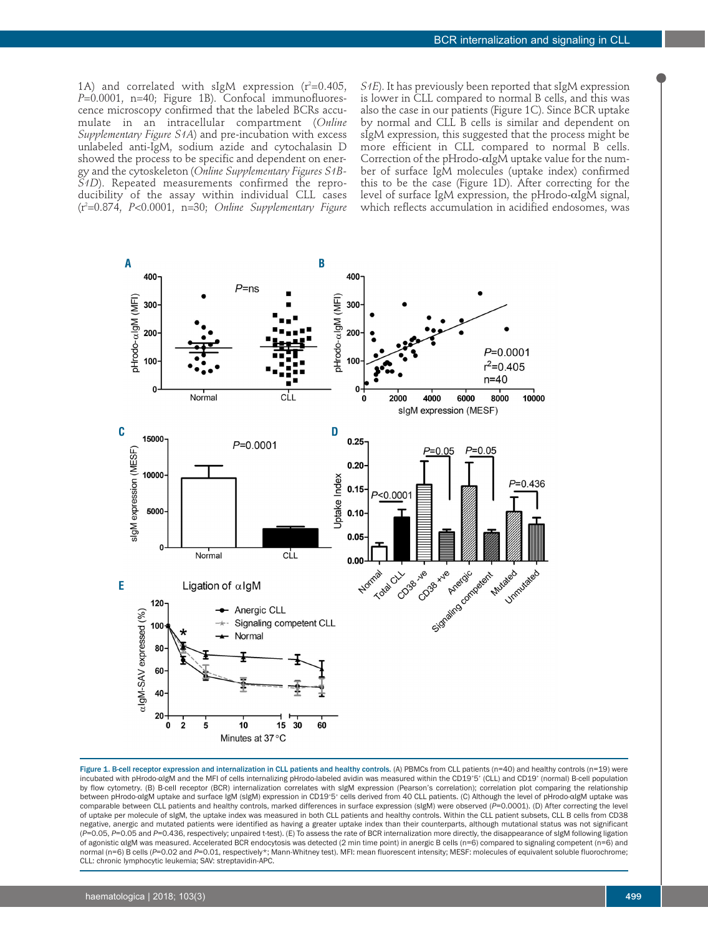1A) and correlated with sIgM expression  $(r^2=0.405,$ *P*=0.0001, n=40; Figure 1B). Confocal immunofluorescence microscopy confirmed that the labeled BCRs accumulate in an intracellular compartment (*Online Supplementary Figure S1A*) and pre-incubation with excess unlabeled anti-IgM, sodium azide and cytochalasin D showed the process to be specific and dependent on energy and the cytoskeleton (*Online Supplementary Figures S1B-S1D*). Repeated measurements confirmed the reproducibility of the assay within individual CLL cases (r2 =0.874, *P*<0.0001, n=30; *Online Supplementary Figure*

*S1E*). It has previously been reported that sIgM expression is lower in CLL compared to normal B cells, and this was also the case in our patients (Figure 1C). Since BCR uptake by normal and CLL B cells is similar and dependent on sIgM expression, this suggested that the process might be more efficient in CLL compared to normal B cells. Correction of the pHrodo-αIgM uptake value for the number of surface IgM molecules (uptake index) confirmed this to be the case (Figure 1D). After correcting for the level of surface IgM expression, the pHrodo-αIgM signal, which reflects accumulation in acidified endosomes, was



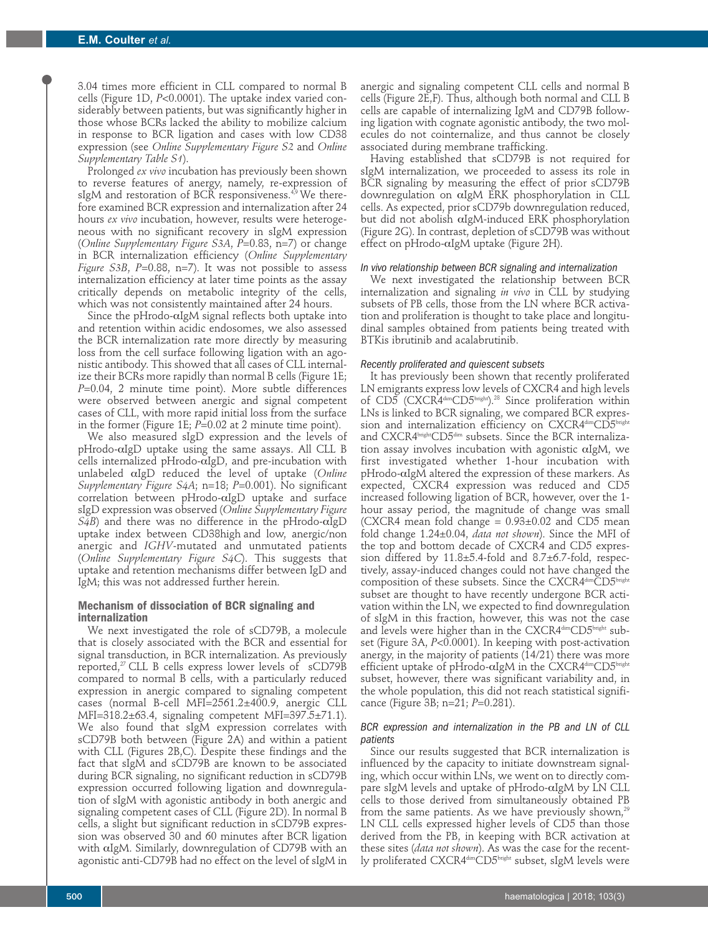3.04 times more efficient in CLL compared to normal B cells (Figure 1D, *P*<0.0001). The uptake index varied considerably between patients, but was significantly higher in those whose BCRs lacked the ability to mobilize calcium in response to BCR ligation and cases with low CD38 expression (see *Online Supplementary Figure S2* and *Online Supplementary Table S1*).

Prolonged *ex vivo* incubation has previously been shown to reverse features of anergy, namely, re-expression of sIgM and restoration of BCR responsiveness.<sup>4,9</sup> We therefore examined BCR expression and internalization after 24 hours *ex vivo* incubation, however, results were heterogeneous with no significant recovery in sIgM expression (*Online Supplementary Figure S3A*, *P*=0.83, n=7) or change in BCR internalization efficiency (*Online Supplementary Figure S3B*, *P*=0.88, n=7). It was not possible to assess internalization efficiency at later time points as the assay critically depends on metabolic integrity of the cells, which was not consistently maintained after 24 hours.

Since the pHrodo- $\alpha$ IgM signal reflects both uptake into and retention within acidic endosomes, we also assessed the BCR internalization rate more directly by measuring loss from the cell surface following ligation with an agonistic antibody. This showed that all cases of CLL internalize their BCRs more rapidly than normal B cells (Figure 1E; *P*=0.04, 2 minute time point). More subtle differences were observed between anergic and signal competent cases of CLL, with more rapid initial loss from the surface in the former (Figure 1E; *P*=0.02 at 2 minute time point).

We also measured sIgD expression and the levels of pHrodo-αIgD uptake using the same assays. All CLL B cells internalized pHrodo-αIgD, and pre-incubation with unlabeled αIgD reduced the level of uptake (*Online Supplementary Figure S4A*; n=18; *P*=0.001). No significant correlation between pHrodo-αIgD uptake and surface sIgD expression was observed (*Online Supplementary Figure S4B*) and there was no difference in the pHrodo-αIgD uptake index between CD38high and low, anergic/non anergic and *IGHV*-mutated and unmutated patients (*Online Supplementary Figure S4C*). This suggests that uptake and retention mechanisms differ between IgD and IgM; this was not addressed further herein.

# **Mechanism of dissociation of BCR signaling and internalization**

We next investigated the role of sCD79B, a molecule that is closely associated with the BCR and essential for signal transduction, in BCR internalization. As previously reported,<sup>27</sup> CLL B cells express lower levels of sCD79B compared to normal B cells, with a particularly reduced expression in anergic compared to signaling competent cases (normal B-cell MFI=2561.2±400.9, anergic CLL MFI=318.2±63.4, signaling competent MFI=397.5±71.1). We also found that sIgM expression correlates with sCD79B both between (Figure 2A) and within a patient with CLL (Figures 2B,C). Despite these findings and the fact that sIgM and sCD79B are known to be associated during BCR signaling, no significant reduction in sCD79B expression occurred following ligation and downregulation of sIgM with agonistic antibody in both anergic and signaling competent cases of CLL (Figure 2D). In normal B cells, a slight but significant reduction in sCD79B expression was observed 30 and 60 minutes after BCR ligation with αIgM. Similarly, downregulation of CD79B with an agonistic anti-CD79B had no effect on the level of sIgM in

anergic and signaling competent CLL cells and normal B cells (Figure 2E,F). Thus, although both normal and CLL B cells are capable of internalizing IgM and CD79B following ligation with cognate agonistic antibody, the two molecules do not cointernalize, and thus cannot be closely associated during membrane trafficking.

Having established that sCD79B is not required for sIgM internalization, we proceeded to assess its role in BCR signaling by measuring the effect of prior sCD79B downregulation on αIgM ERK phosphorylation in CLL cells. As expected, prior sCD79b downregulation reduced, but did not abolish αIgM-induced ERK phosphorylation (Figure 2G). In contrast, depletion of sCD79B was without effect on pHrodo-αIgM uptake (Figure 2H).

#### *In vivo relationship between BCR signaling and internalization*

We next investigated the relationship between BCR internalization and signaling *in vivo* in CLL by studying subsets of PB cells, those from the LN where BCR activation and proliferation is thought to take place and longitudinal samples obtained from patients being treated with BTKis ibrutinib and acalabrutinib.

#### *Recently proliferated and quiescent subsets*

It has previously been shown that recently proliferated LN emigrants express low levels of CXCR4 and high levels of CD5 (CXCR4<sup>dim</sup>CD5<sup>bright</sup>).<sup>28</sup> Since proliferation within LNs is linked to BCR signaling, we compared BCR expression and internalization efficiency on CXCR4<sup>dim</sup>CD5bright and CXCR4brightCD5<sup>dim</sup> subsets. Since the BCR internalization assay involves incubation with agonistic αIgM, we first investigated whether 1-hour incubation with pHrodo-αIgM altered the expression of these markers. As expected, CXCR4 expression was reduced and CD5 increased following ligation of BCR, however, over the 1 hour assay period, the magnitude of change was small (CXCR4 mean fold change  $= 0.93 \pm 0.02$  and CD5 mean fold change 1.24±0.04, *data not shown*). Since the MFI of the top and bottom decade of CXCR4 and CD5 expression differed by 11.8±5.4-fold and 8.7±6.7-fold, respectively, assay-induced changes could not have changed the composition of these subsets. Since the CXCR4<sup>dim</sup>CD5<sup>bright</sup> subset are thought to have recently undergone BCR activation within the LN, we expected to find downregulation of sIgM in this fraction, however, this was not the case and levels were higher than in the CXCR4<sup>dim</sup>CD5<sup>bright</sup> subset (Figure 3A, *P*<0.0001). In keeping with post-activation anergy, in the majority of patients (14/21) there was more efficient uptake of pHrodo-αIgM in the CXCR4<sup>dim</sup>CD5bright subset, however, there was significant variability and, in the whole population, this did not reach statistical significance (Figure 3B; n=21; *P*=0.281).

# *BCR expression and internalization in the PB and LN of CLL patients*

Since our results suggested that BCR internalization is influenced by the capacity to initiate downstream signaling, which occur within LNs, we went on to directly compare sIgM levels and uptake of pHrodo-αIgM by LN CLL cells to those derived from simultaneously obtained PB from the same patients. As we have previously shown, $^{29}$ LN CLL cells expressed higher levels of CD5 than those derived from the PB, in keeping with BCR activation at these sites (*data not shown*). As was the case for the recently proliferated CXCR4<sup>dim</sup>CD5<sup>bright</sup> subset, sIgM levels were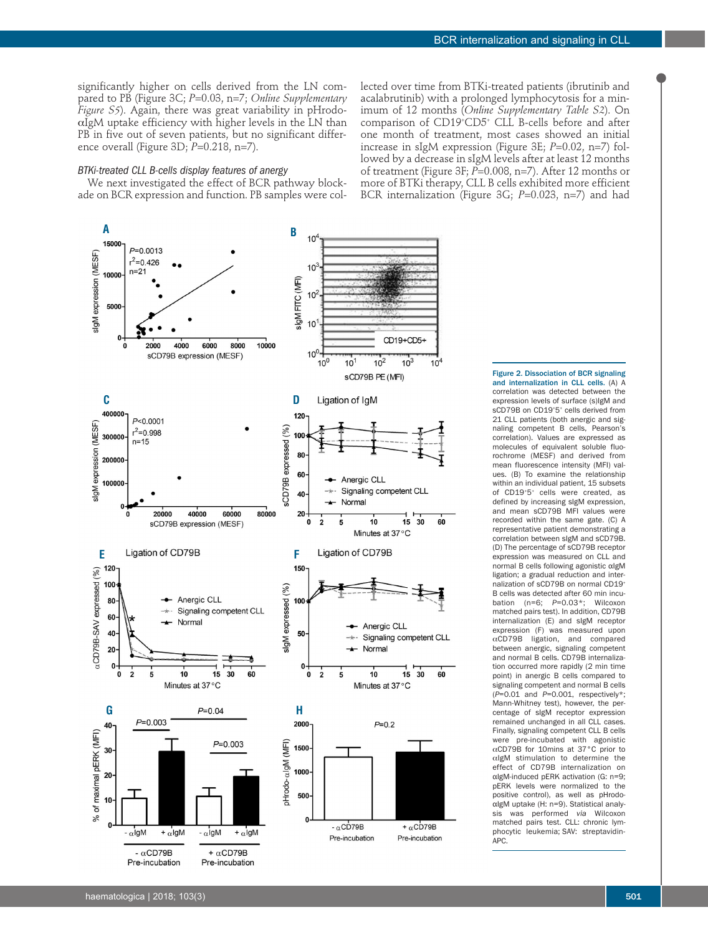significantly higher on cells derived from the LN compared to PB (Figure 3C; *P*=0.03, n=7; *Online Supplementary Figure S5*). Again, there was great variability in pHrodoαIgM uptake efficiency with higher levels in the LN than PB in five out of seven patients, but no significant difference overall (Figure 3D; *P*=0.218, n=7).

# *BTKi-treated CLL B-cells display features of anergy*

We next investigated the effect of BCR pathway blockade on BCR expression and function. PB samples were collected over time from BTKi-treated patients (ibrutinib and acalabrutinib) with a prolonged lymphocytosis for a minimum of 12 months (*Online Supplementary Table S2*). On comparison of CD19+ CD5+ CLL B-cells before and after one month of treatment, most cases showed an initial increase in sIgM expression (Figure 3E; *P*=0.02, n=7) followed by a decrease in sIgM levels after at least 12 months of treatment (Figure 3F; *P*=0.008, n=7). After 12 months or more of BTKi therapy, CLL B cells exhibited more efficient BCR internalization (Figure 3G; *P*=0.023, n=7) and had



Figure 2. Dissociation of BCR signaling and internalization in CLL cells. (A) A correlation was detected between the expression levels of surface (s)IgM and sCD79B on CD19<sup>+</sup>5<sup>+</sup> cells derived from 21 CLL patients (both anergic and signaling competent B cells, Pearson's correlation). Values are expressed as molecules of equivalent soluble fluorochrome (MESF) and derived from mean fluorescence intensity (MFI) values. (B) To examine the relationship within an individual patient, 15 subsets of CD19'5' cells were created, as defined by increasing sIgM expression, and mean sCD79B MFI values were recorded within the same gate. (C) A representative patient demonstrating a correlation between sIgM and sCD79B. (D) The percentage of sCD79B receptor expression was measured on CLL and normal B cells following agonistic αIgM ligation; a gradual reduction and internalization of sCD79B on normal CD19+ B cells was detected after 60 min incubation (n=6; *P*=0.03\*; Wilcoxon matched pairs test). In addition, CD79B internalization (E) and sIgM receptor expression (F) was measured upon αCD79B ligation, and compared between anergic, signaling competent and normal B cells. CD79B internalization occurred more rapidly (2 min time point) in anergic B cells compared to signaling competent and normal B cells (*P*=0.01 and *P*=0.001, respectively\*; Mann-Whitney test), however, the percentage of sIgM receptor expression remained unchanged in all CLL cases. Finally, signaling competent CLL B cells were pre-incubated with agonistic αCD79B for 10mins at 37°C prior to αIgM stimulation to determine the effect of CD79B internalization on αIgM-induced pERK activation (G: n=9; pERK levels were normalized to the positive control), as well as pHrodoαIgM uptake (H: n=9). Statistical analysis was performed *via* Wilcoxon matched pairs test. CLL: chronic lymphocytic leukemia; SAV: streptavidin-APC.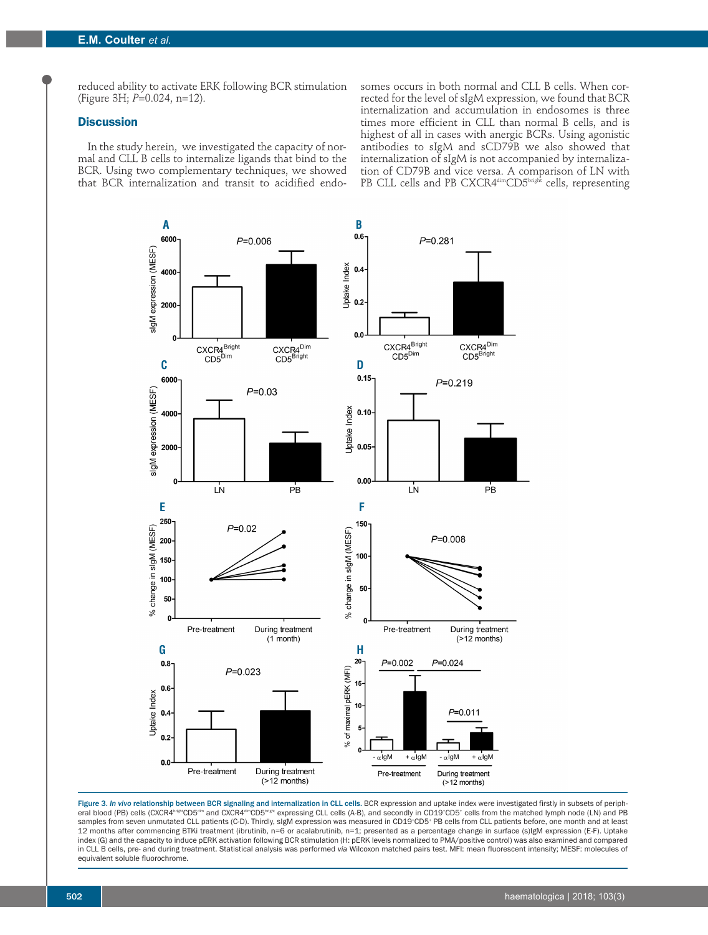reduced ability to activate ERK following BCR stimulation (Figure 3H; *P*=0.024, n=12).

# **Discussion**

In the study herein, we investigated the capacity of normal and CLL B cells to internalize ligands that bind to the BCR. Using two complementary techniques, we showed that BCR internalization and transit to acidified endosomes occurs in both normal and CLL B cells. When corrected for the level of sIgM expression, we found that BCR internalization and accumulation in endosomes is three times more efficient in CLL than normal B cells, and is highest of all in cases with anergic BCRs. Using agonistic antibodies to sIgM and sCD79B we also showed that internalization of sIgM is not accompanied by internalization of CD79B and vice versa. A comparison of LN with PB CLL cells and PB CXCR4<sup>dim</sup>CD5<sup>bright</sup> cells, representing



Figure 3. *In vivo* relationship between BCR signaling and internalization in CLL cells. BCR expression and uptake index were investigated firstly in subsets of peripheral blood (PB) cells (CXCR4ʰʲʁʰ:CD5ªm and CXCR4ªmCD5ʰʲʁʰt expressing CLL cells (A-B), and secondly in CD19\*CD5\* cells from the matched lymph node (LN) and PB samples from seven unmutated CLL patients (C-D). Thirdly, sIgM expression was measured in CD19°CD5° PB cells from CLL patients before, one month and at least 12 months after commencing BTKi treatment (ibrutinib, n=6 or acalabrutinib, n=1; presented as a percentage change in surface (s)IgM expression (E-F). Uptake index (G) and the capacity to induce pERK activation following BCR stimulation (H: pERK levels normalized to PMA/positive control) was also examined and compared in CLL B cells, pre- and during treatment. Statistical analysis was performed *via* Wilcoxon matched pairs test. MFI: mean fluorescent intensity; MESF: molecules of equivalent soluble fluorochrome.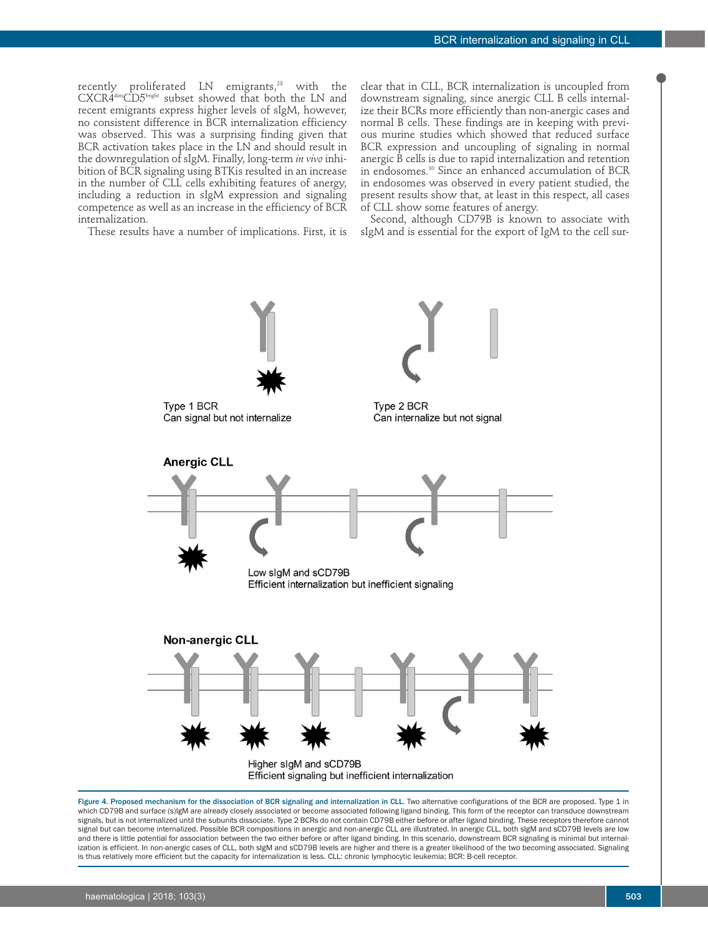recently proliferated LN emigrants,<sup>28</sup> with the CXCR4<sup>dim</sup>CD5<sup>bright</sup> subset showed that both the LN and recent emigrants express higher levels of sIgM, however, no consistent difference in BCR internalization efficiency was observed. This was a surprising finding given that BCR activation takes place in the LN and should result in the downregulation of sIgM. Finally, long-term *in vivo* inhibition of BCR signaling using BTKis resulted in an increase in the number of CLL cells exhibiting features of anergy, including a reduction in sIgM expression and signaling competence as well as an increase in the efficiency of BCR internalization.

These results have a number of implications. First, it is

clear that in CLL, BCR internalization is uncoupled from downstream signaling, since anergic CLL B cells internalize their BCRs more efficiently than non-anergic cases and normal B cells. These findings are in keeping with previous murine studies which showed that reduced surface BCR expression and uncoupling of signaling in normal anergic B cells is due to rapid internalization and retention in endosomes.30 Since an enhanced accumulation of BCR in endosomes was observed in every patient studied, the present results show that, at least in this respect, all cases of CLL show some features of anergy.

Second, although CD79B is known to associate with sIgM and is essential for the export of IgM to the cell sur-



Figure 4. Proposed mechanism for the dissociation of BCR signaling and internalization in CLL. Two alternative configurations of the BCR are proposed. Type 1 in which CD79B and surface (s)IgM are already closely associated or become associated following ligand binding. This form of the receptor can transduce downstream signals, but is not internalized until the subunits dissociate. Type 2 BCRs do not contain CD79B either before or after ligand binding. These receptors therefore cannot signal but can become internalized. Possible BCR compositions in anergic and non-anergic CLL are illustrated. In anergic CLL, both sIgM and sCD79B levels are low and there is little potential for association between the two either before or after ligand binding. In this scenario, downstream BCR signaling is minimal but internalization is efficient. In non-anergic cases of CLL, both sIgM and sCD79B levels are higher and there is a greater likelihood of the two becoming associated. Signaling is thus relatively more efficient but the capacity for internalization is less. CLL: chronic lymphocytic leukemia; BCR: B-cell receptor.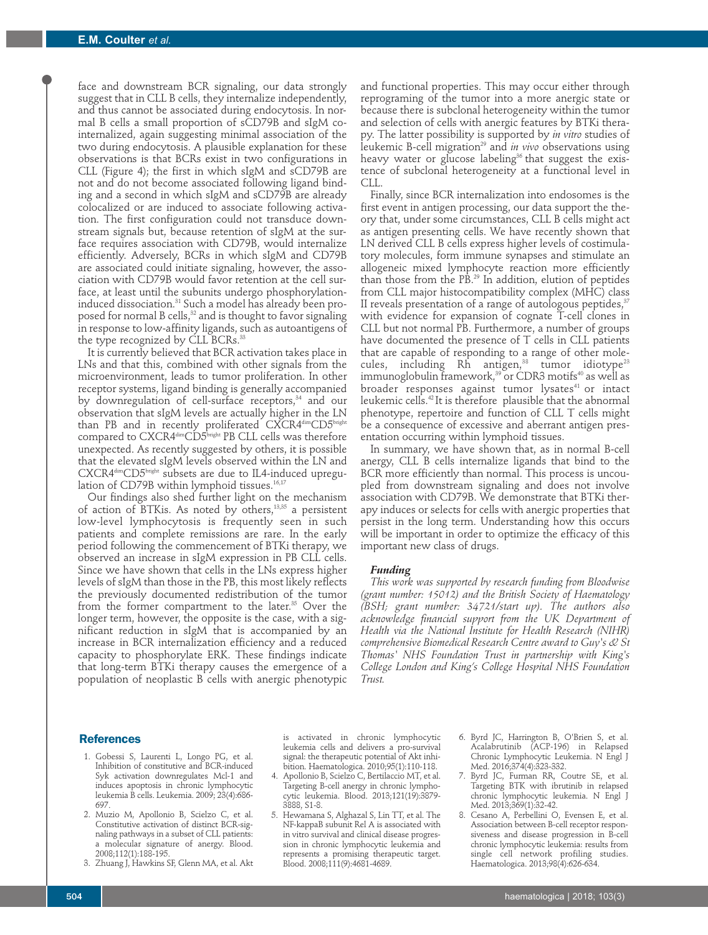face and downstream BCR signaling, our data strongly suggest that in CLL B cells, they internalize independently, and thus cannot be associated during endocytosis. In normal B cells a small proportion of sCD79B and sIgM cointernalized, again suggesting minimal association of the two during endocytosis. A plausible explanation for these observations is that BCRs exist in two configurations in CLL (Figure 4); the first in which sIgM and sCD79B are not and do not become associated following ligand binding and a second in which sIgM and sCD79B are already colocalized or are induced to associate following activation. The first configuration could not transduce downstream signals but, because retention of sIgM at the surface requires association with CD79B, would internalize efficiently. Adversely, BCRs in which sIgM and CD79B are associated could initiate signaling, however, the association with CD79B would favor retention at the cell surface, at least until the subunits undergo phosphorylationinduced dissociation.31 Such a model has already been proposed for normal B cells,<sup>32</sup> and is thought to favor signaling in response to low-affinity ligands, such as autoantigens of the type recognized by CLL BCRs.<sup>33</sup>

It is currently believed that BCR activation takes place in LNs and that this, combined with other signals from the microenvironment, leads to tumor proliferation. In other receptor systems, ligand binding is generally accompanied by downregulation of cell-surface receptors,<sup>34</sup> and our observation that sIgM levels are actually higher in the LN than PB and in recently proliferated CXCR4dimCD5bright compared to CXCR4<sup>dim</sup>CD5<sup>bright</sup> PB CLL cells was therefore unexpected. As recently suggested by others, it is possible that the elevated sIgM levels observed within the LN and CXCR4<sup>dim</sup>CD5<sup>bright</sup> subsets are due to IL4-induced upregulation of CD79B within lymphoid tissues.<sup>16,17</sup>

Our findings also shed further light on the mechanism of action of BTKis. As noted by others,13,35 a persistent low-level lymphocytosis is frequently seen in such patients and complete remissions are rare. In the early period following the commencement of BTKi therapy, we observed an increase in sIgM expression in PB CLL cells. Since we have shown that cells in the LNs express higher levels of sIgM than those in the PB, this most likely reflects the previously documented redistribution of the tumor from the former compartment to the later.<sup>35</sup> Over the longer term, however, the opposite is the case, with a significant reduction in sIgM that is accompanied by an increase in BCR internalization efficiency and a reduced capacity to phosphorylate ERK. These findings indicate that long-term BTKi therapy causes the emergence of a population of neoplastic B cells with anergic phenotypic and functional properties. This may occur either through reprograming of the tumor into a more anergic state or because there is subclonal heterogeneity within the tumor and selection of cells with anergic features by BTKi therapy. The latter possibility is supported by *in vitro* studies of leukemic B-cell migration<sup>29</sup> and *in vivo* observations using heavy water or glucose labeling<sup>36</sup> that suggest the existence of subclonal heterogeneity at a functional level in CLL.

Finally, since BCR internalization into endosomes is the first event in antigen processing, our data support the theory that, under some circumstances, CLL B cells might act as antigen presenting cells. We have recently shown that LN derived CLL B cells express higher levels of costimulatory molecules, form immune synapses and stimulate an allogeneic mixed lymphocyte reaction more efficiently than those from the PB.29 In addition, elution of peptides from CLL major histocompatibility complex (MHC) class II reveals presentation of a range of autologous peptides, $37$ with evidence for expansion of cognate T-cell clones in CLL but not normal PB. Furthermore, a number of groups have documented the presence of T cells in CLL patients that are capable of responding to a range of other molecules, including Rh antigen,<sup>38</sup> tumor idiotype<sup>23</sup> immunoglobulin framework,<sup>39</sup> or CDR3 motifs<sup>40</sup> as well as broader responses against tumor lysates<sup>41</sup> or intact leukemic cells.42 It is therefore plausible that the abnormal phenotype, repertoire and function of CLL T cells might be a consequence of excessive and aberrant antigen presentation occurring within lymphoid tissues.

In summary, we have shown that, as in normal B-cell anergy, CLL B cells internalize ligands that bind to the BCR more efficiently than normal. This process is uncoupled from downstream signaling and does not involve association with CD79B. We demonstrate that BTKi therapy induces or selects for cells with anergic properties that persist in the long term. Understanding how this occurs will be important in order to optimize the efficacy of this important new class of drugs.

#### *Funding*

*This work was supported by research funding from Bloodwise (grant number: 15012) and the British Society of Haematology (BSH; grant number: 34721/start up). The authors also acknowledge financial support from the UK Department of Health via the National Institute for Health Research (NIHR) comprehensive Biomedical Research Centre award to Guy's & St Thomas' NHS Foundation Trust in partnership with King's College London and King's College Hospital NHS Foundation Trust.*

#### **References**

- 1. Gobessi S, Laurenti L, Longo PG, et al. Inhibition of constitutive and BCR-induced Syk activation downregulates Mcl-1 and induces apoptosis in chronic lymphocytic leukemia B cells. Leukemia. 2009; 23(4):686- 697.
- 2. Muzio M, Apollonio B, Scielzo C, et al. Constitutive activation of distinct BCR-signaling pathways in a subset of CLL patients: a molecular signature of anergy. Blood. 2008;112(1):188-195.
- 3. Zhuang J, Hawkins SF, Glenn MA, et al. Akt

is activated in chronic lymphocytic leukemia cells and delivers a pro-survival signal: the therapeutic potential of Akt inhibition. Haematologica. 2010;95(1):110-118.

- 4. Apollonio B, Scielzo C, Bertilaccio MT, et al. Targeting B-cell anergy in chronic lymphocytic leukemia. Blood. 2013;121(19):3879- 3888, S1-8.
- 5. Hewamana S, Alghazal S, Lin TT, et al. The NF-kappaB subunit Rel A is associated with in vitro survival and clinical disease progression in chronic lymphocytic leukemia and represents a promising therapeutic target. Blood. 2008;111(9):4681-4689.
- 6. Byrd JC, Harrington B, O'Brien S, et al. Acalabrutinib (ACP-196) in Relapsed Chronic Lymphocytic Leukemia. N Engl J Med. 2016;374(4):323-332.
- 7. Byrd JC, Furman RR, Coutre SE, et al. Targeting BTK with ibrutinib in relapsed chronic lymphocytic leukemia. N Engl J Med. 2013;369(1):32-42.
- 8. Cesano A, Perbellini O, Evensen E, et al. Association between B-cell receptor responsiveness and disease progression in B-cell chronic lymphocytic leukemia: results from single cell network profiling studies. Haematologica. 2013;98(4):626-634.